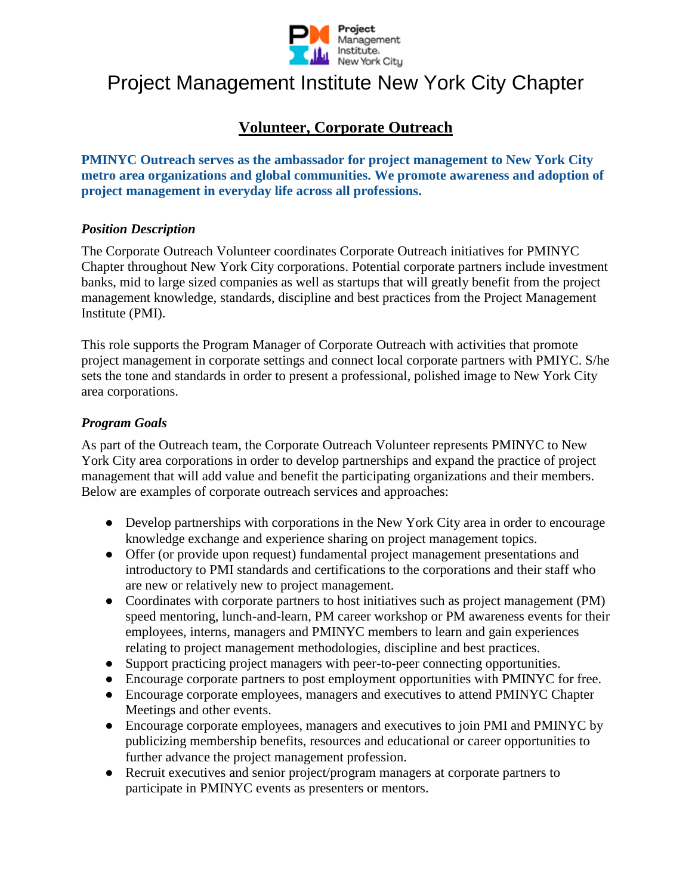

# Project Management Institute New York City Chapter

# **Volunteer, Corporate Outreach**

**PMINYC Outreach serves as the ambassador for project management to New York City metro area organizations and global communities. We promote awareness and adoption of project management in everyday life across all professions.**

#### *Position Description*

The Corporate Outreach Volunteer coordinates Corporate Outreach initiatives for PMINYC Chapter throughout New York City corporations. Potential corporate partners include investment banks, mid to large sized companies as well as startups that will greatly benefit from the project management knowledge, standards, discipline and best practices from the Project Management Institute (PMI).

This role supports the Program Manager of Corporate Outreach with activities that promote project management in corporate settings and connect local corporate partners with PMIYC. S/he sets the tone and standards in order to present a professional, polished image to New York City area corporations.

#### *Program Goals*

As part of the Outreach team, the Corporate Outreach Volunteer represents PMINYC to New York City area corporations in order to develop partnerships and expand the practice of project management that will add value and benefit the participating organizations and their members. Below are examples of corporate outreach services and approaches:

- Develop partnerships with corporations in the New York City area in order to encourage knowledge exchange and experience sharing on project management topics.
- Offer (or provide upon request) fundamental project management presentations and introductory to PMI standards and certifications to the corporations and their staff who are new or relatively new to project management.
- Coordinates with corporate partners to host initiatives such as project management (PM) speed mentoring, lunch-and-learn, PM career workshop or PM awareness events for their employees, interns, managers and PMINYC members to learn and gain experiences relating to project management methodologies, discipline and best practices.
- Support practicing project managers with peer-to-peer connecting opportunities.
- Encourage corporate partners to post employment opportunities with PMINYC for free.
- Encourage corporate employees, managers and executives to attend PMINYC Chapter Meetings and other events.
- Encourage corporate employees, managers and executives to join PMI and PMINYC by publicizing membership benefits, resources and educational or career opportunities to further advance the project management profession.
- Recruit executives and senior project/program managers at corporate partners to participate in PMINYC events as presenters or mentors.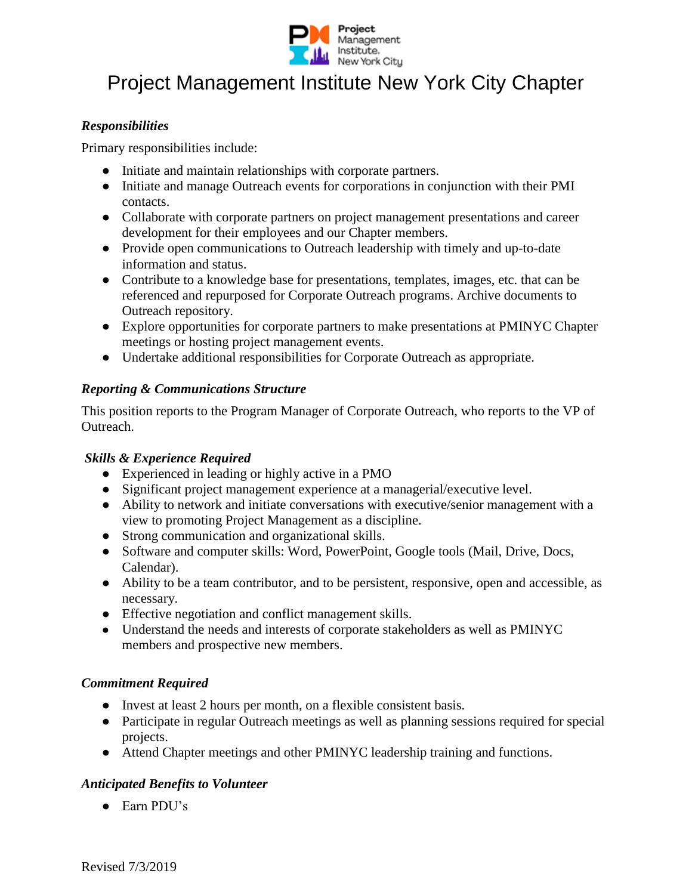

# Project Management Institute New York City Chapter

#### *Responsibilities*

Primary responsibilities include:

- Initiate and maintain relationships with corporate partners.
- Initiate and manage Outreach events for corporations in conjunction with their PMI contacts.
- Collaborate with corporate partners on project management presentations and career development for their employees and our Chapter members.
- Provide open communications to Outreach leadership with timely and up-to-date information and status.
- Contribute to a knowledge base for presentations, templates, images, etc. that can be referenced and repurposed for Corporate Outreach programs. Archive documents to Outreach repository.
- Explore opportunities for corporate partners to make presentations at PMINYC Chapter meetings or hosting project management events.
- Undertake additional responsibilities for Corporate Outreach as appropriate.

#### *Reporting & Communications Structure*

This position reports to the Program Manager of Corporate Outreach, who reports to the VP of Outreach.

## *Skills & Experience Required*

- Experienced in leading or highly active in a PMO
- Significant project management experience at a managerial/executive level.
- Ability to network and initiate conversations with executive/senior management with a view to promoting Project Management as a discipline.
- Strong communication and organizational skills.
- Software and computer skills: Word, PowerPoint, Google tools (Mail, Drive, Docs, Calendar).
- Ability to be a team contributor, and to be persistent, responsive, open and accessible, as necessary.
- Effective negotiation and conflict management skills.
- Understand the needs and interests of corporate stakeholders as well as PMINYC members and prospective new members.

## *Commitment Required*

- Invest at least 2 hours per month, on a flexible consistent basis.
- Participate in regular Outreach meetings as well as planning sessions required for special projects.
- Attend Chapter meetings and other PMINYC leadership training and functions.

## *Anticipated Benefits to Volunteer*

● Earn PDU's